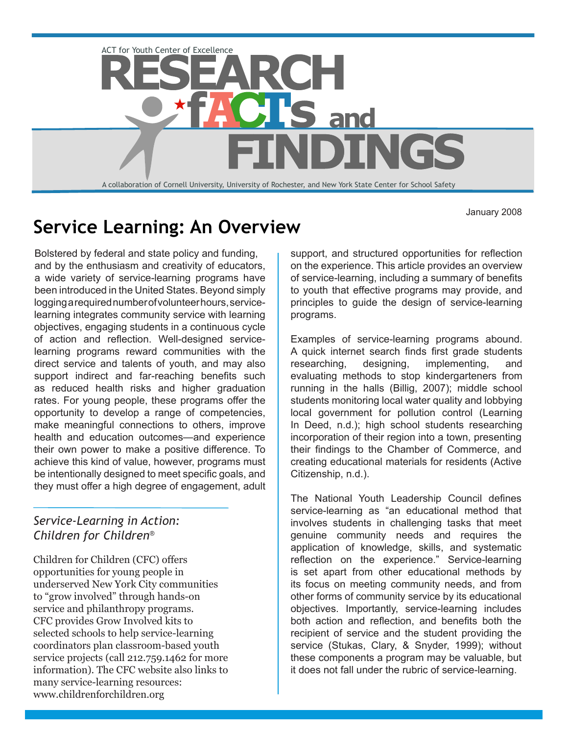

January 2008

# **Service Learning: An Overview**

Bolstered by federal and state policy and funding, and by the enthusiasm and creativity of educators, a wide variety of service-learning programs have been introduced in the United States. Beyond simply logging a required number of volunteer hours, servicelearning integrates community service with learning objectives, engaging students in a continuous cycle of action and reflection. Well-designed servicelearning programs reward communities with the direct service and talents of youth, and may also support indirect and far-reaching benefits such as reduced health risks and higher graduation rates. For young people, these programs offer the opportunity to develop a range of competencies, make meaningful connections to others, improve health and education outcomes—and experience their own power to make a positive difference. To achieve this kind of value, however, programs must be intentionally designed to meet specific goals, and they must offer a high degree of engagement, adult

## *Service-Learning in Action: Children for Children®*

Children for Children (CFC) offers opportunities for young people in underserved New York City communities to "grow involved" through hands-on service and philanthropy programs. CFC provides Grow Involved kits to selected schools to help service-learning coordinators plan classroom-based youth service projects (call 212.759.1462 for more information). The CFC website also links to many service-learning resources: www.childrenforchildren.org

support, and structured opportunities for reflection on the experience. This article provides an overview of service-learning, including a summary of benefits to youth that effective programs may provide, and principles to guide the design of service-learning programs.

Examples of service-learning programs abound. A quick internet search finds first grade students researching, designing, implementing, and evaluating methods to stop kindergarteners from running in the halls (Billig, 2007); middle school students monitoring local water quality and lobbying local government for pollution control (Learning In Deed, n.d.); high school students researching incorporation of their region into a town, presenting their findings to the Chamber of Commerce, and creating educational materials for residents (Active Citizenship, n.d.).

The National Youth Leadership Council defines service-learning as "an educational method that involves students in challenging tasks that meet genuine community needs and requires the application of knowledge, skills, and systematic reflection on the experience." Service-learning is set apart from other educational methods by its focus on meeting community needs, and from other forms of community service by its educational objectives. Importantly, service-learning includes both action and reflection, and benefits both the recipient of service and the student providing the service (Stukas, Clary, & Snyder, 1999); without these components a program may be valuable, but it does not fall under the rubric of service-learning.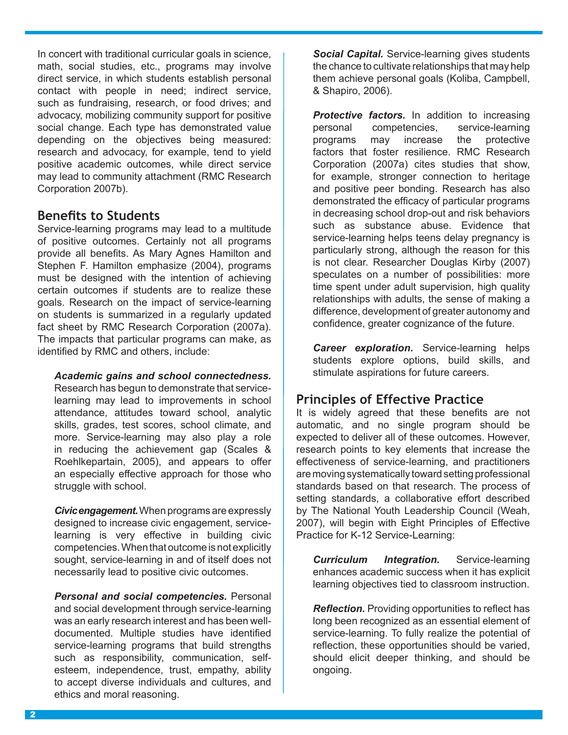In concert with traditional curricular goals in science, math, social studies, etc., programs may involve direct service, in which students establish personal contact with people in need; indirect service, such as fundraising, research, or food drives; and advocacy, mobilizing community support for positive social change. Each type has demonstrated value depending on the objectives being measured: research and advocacy, for example, tend to yield positive academic outcomes, while direct service may lead to community attachment (RMC Research Corporation 2007b).

## **Benefits to Students**

Service-learning programs may lead to a multitude of positive outcomes. Certainly not all programs provide all benefits. As Mary Agnes Hamilton and Stephen F. Hamilton emphasize (2004), programs must be designed with the intention of achieving certain outcomes if students are to realize these goals. Research on the impact of service-learning on students is summarized in a regularly updated fact sheet by RMC Research Corporation (2007a). The impacts that particular programs can make, as identified by RMC and others, include:

#### *Academic gains and school connectedness.*

Research has begun to demonstrate that servicelearning may lead to improvements in school attendance, attitudes toward school, analytic skills, grades, test scores, school climate, and more. Service-learning may also play a role in reducing the achievement gap (Scales & Roehlkepartain, 2005), and appears to offer an especially effective approach for those who struggle with school.

*Civic engagement.* When programs are expressly designed to increase civic engagement, servicelearning is very effective in building civic competencies. When that outcome is not explicitly sought, service-learning in and of itself does not necessarily lead to positive civic outcomes.

*Personal and social competencies.* Personal and social development through service-learning was an early research interest and has been welldocumented. Multiple studies have identified service-learning programs that build strengths such as responsibility, communication, selfesteem, independence, trust, empathy, ability to accept diverse individuals and cultures, and ethics and moral reasoning.

*Social Capital.* Service-learning gives students the chance to cultivate relationships that may help them achieve personal goals (Koliba, Campbell, & Shapiro, 2006).

**Protective factors.** In addition to increasing personal competencies, service-learning programs may increase the protective factors that foster resilience. RMC Research Corporation (2007a) cites studies that show, for example, stronger connection to heritage and positive peer bonding. Research has also demonstrated the efficacy of particular programs in decreasing school drop-out and risk behaviors such as substance abuse. Evidence that service-learning helps teens delay pregnancy is particularly strong, although the reason for this is not clear. Researcher Douglas Kirby (2007) speculates on a number of possibilities: more time spent under adult supervision, high quality relationships with adults, the sense of making a difference, development of greater autonomy and confidence, greater cognizance of the future.

*Career exploration.* Service-learning helps students explore options, build skills, and stimulate aspirations for future careers.

# **Principles of Effective Practice**

It is widely agreed that these benefits are not automatic, and no single program should be expected to deliver all of these outcomes. However, research points to key elements that increase the effectiveness of service-learning, and practitioners are moving systematically toward setting professional standards based on that research. The process of setting standards, a collaborative effort described by The National Youth Leadership Council (Weah, 2007), will begin with Eight Principles of Effective Practice for K-12 Service-Learning:

*Curriculum Integration.* Service-learning enhances academic success when it has explicit learning objectives tied to classroom instruction.

*Reflection.* Providing opportunities to reflect has long been recognized as an essential element of service-learning. To fully realize the potential of reflection, these opportunities should be varied, should elicit deeper thinking, and should be ongoing.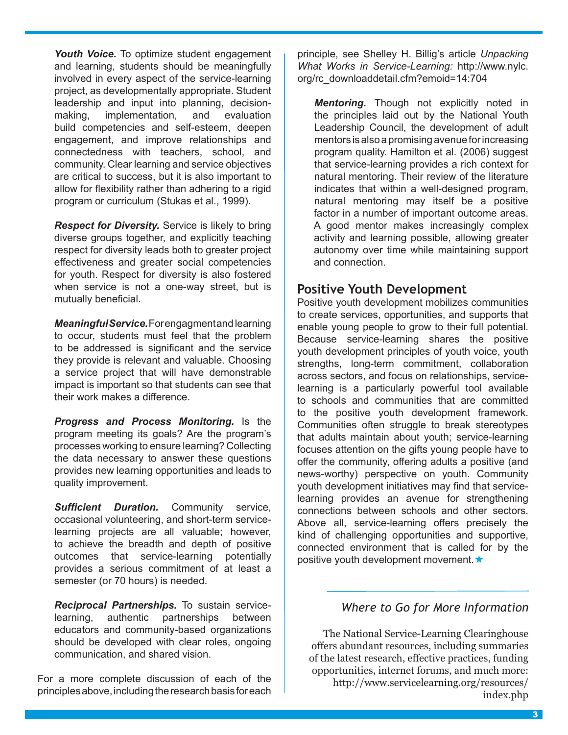Youth Voice. To optimize student engagement and learning, students should be meaningfully involved in every aspect of the service-learning project, as developmentally appropriate. Student leadership and input into planning, decisionmaking, implementation, and evaluation build competencies and self-esteem, deepen engagement, and improve relationships and connectedness with teachers, school, and community. Clear learning and service objectives are critical to success, but it is also important to allow for flexibility rather than adhering to a rigid program or curriculum (Stukas et al., 1999).

*Respect for Diversity.* Service is likely to bring diverse groups together, and explicitly teaching respect for diversity leads both to greater project effectiveness and greater social competencies for youth. Respect for diversity is also fostered when service is not a one-way street, but is mutually beneficial.

*Meaningful Service.* For engagment and learning to occur, students must feel that the problem to be addressed is significant and the service they provide is relevant and valuable. Choosing a service project that will have demonstrable impact is important so that students can see that their work makes a difference.

*Progress and Process Monitoring.* Is the program meeting its goals? Are the program's processes working to ensure learning? Collecting the data necessary to answer these questions provides new learning opportunities and leads to quality improvement.

*Sufficient Duration.* Community service, occasional volunteering, and short-term servicelearning projects are all valuable; however, to achieve the breadth and depth of positive outcomes that service-learning potentially provides a serious commitment of at least a semester (or 70 hours) is needed.

*Reciprocal Partnerships.* To sustain servicelearning, authentic partnerships between educators and community-based organizations should be developed with clear roles, ongoing communication, and shared vision.

For a more complete discussion of each of the principles above, including the research basis for each

principle, see Shelley H. Billig's article *Unpacking What Works in Service-Learning:* http://www.nylc. org/rc\_downloaddetail.cfm?emoid=14:704

*Mentoring.* Though not explicitly noted in the principles laid out by the National Youth Leadership Council, the development of adult mentors is also a promising avenue for increasing program quality. Hamilton et al. (2006) suggest that service-learning provides a rich context for natural mentoring. Their review of the literature indicates that within a well-designed program, natural mentoring may itself be a positive factor in a number of important outcome areas. A good mentor makes increasingly complex activity and learning possible, allowing greater autonomy over time while maintaining support and connection.

#### **Positive Youth Development**

Positive youth development mobilizes communities to create services, opportunities, and supports that enable young people to grow to their full potential. Because service-learning shares the positive youth development principles of youth voice, youth strengths, long-term commitment, collaboration across sectors, and focus on relationships, servicelearning is a particularly powerful tool available to schools and communities that are committed to the positive youth development framework. Communities often struggle to break stereotypes that adults maintain about youth; service-learning focuses attention on the gifts young people have to offer the community, offering adults a positive (and news-worthy) perspective on youth. Community youth development initiatives may find that servicelearning provides an avenue for strengthening connections between schools and other sectors. Above all, service-learning offers precisely the kind of challenging opportunities and supportive, connected environment that is called for by the positive youth development movement.

#### *Where to Go for More Information*

The National Service-Learning Clearinghouse offers abundant resources, including summaries of the latest research, effective practices, funding opportunities, internet forums, and much more:

http://www.servicelearning.org/resources/ index.php